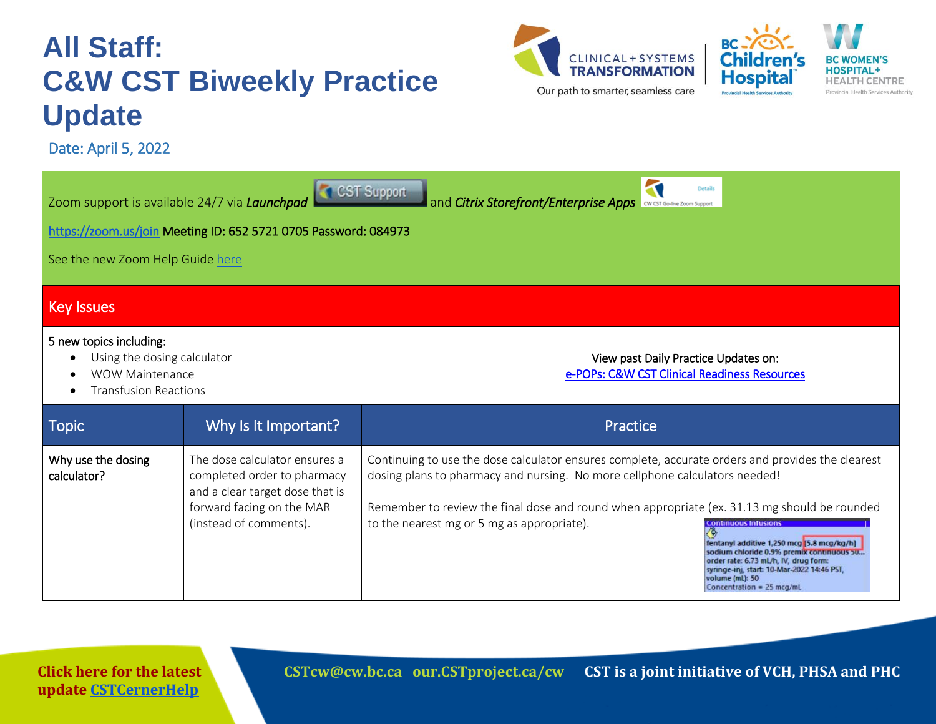## **All Staff: C&W CST Biweekly Practice Update**

Date: April 5, 2022





3 Zoom support is available 24/7 via *Launchpad* **and** *Citrix Storefront/Enterprise Apps* and **and** *Citrix Storefront/Enterprise Apps* **Details** <https://zoom.us/join>Meeting ID: 652 5721 0705 Password: 084973 See the new Zoom Help Guide [here](https://transformationcentral.vch.ca/cw/Documents/Go-live%20support/CW%20CST%20-%20How-to%20Guide_CST%20Go-live%20Zoom%20Support%20FINAL%202.0%202022%2002%2027.pdf)  Key Issues 5 new topics including: Using the dosing calculator View past Daily Practice Updates on: [e-POPs: C&W CST Clinical Readiness Resources](http://policyandorders.cw.bc.ca/)  WOW Maintenance Transfusion Reactions Topic **Example 20 Why Is It Important?** Provide a problem of the Practice Why use the dosing Continuing to use the dose calculator ensures complete, accurate orders and provides the clearest The dose calculator ensures a calculator? completed order to pharmacy dosing plans to pharmacy and nursing. No more cellphone calculators needed! and a clear target dose that is Remember to review the final dose and round when appropriate (ex. 31.13 mg should be rounded forward facing on the MAR (instead of comments). to the nearest mg or 5 mg as appropriate).fentanyl additive 1,250 mcg [5.8 mcg/kg/h] sodium chloride 0.9% premix continuous 50... order rate: 6.73 mL/h, IV, drug form: syringe-inj, start: 10-Mar-2022 14:46 PST, volume (mL): 50 Concentration = 25 mcg/mL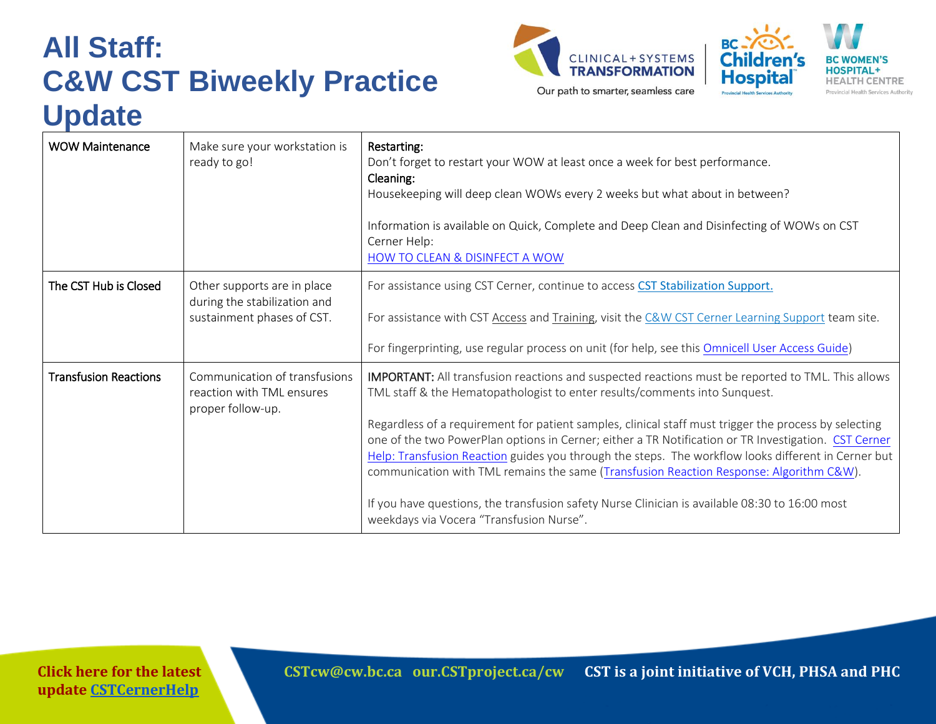## **All Staff: C&W CST Biweekly Practice Update**





| <b>WOW Maintenance</b>       | Make sure your workstation is<br>ready to go!                                             | Restarting:<br>Don't forget to restart your WOW at least once a week for best performance.<br>Cleaning:<br>Housekeeping will deep clean WOWs every 2 weeks but what about in between?<br>Information is available on Quick, Complete and Deep Clean and Disinfecting of WOWs on CST<br>Cerner Help:<br>HOW TO CLEAN & DISINFECT A WOW                                                                                                                                                                                                                                                                                                                                                                                                            |
|------------------------------|-------------------------------------------------------------------------------------------|--------------------------------------------------------------------------------------------------------------------------------------------------------------------------------------------------------------------------------------------------------------------------------------------------------------------------------------------------------------------------------------------------------------------------------------------------------------------------------------------------------------------------------------------------------------------------------------------------------------------------------------------------------------------------------------------------------------------------------------------------|
| The CST Hub is Closed        | Other supports are in place<br>during the stabilization and<br>sustainment phases of CST. | For assistance using CST Cerner, continue to access CST Stabilization Support.<br>For assistance with CST Access and Training, visit the C&W CST Cerner Learning Support team site.<br>For fingerprinting, use regular process on unit (for help, see this Omnicell User Access Guide)                                                                                                                                                                                                                                                                                                                                                                                                                                                           |
| <b>Transfusion Reactions</b> | Communication of transfusions<br>reaction with TML ensures<br>proper follow-up.           | IMPORTANT: All transfusion reactions and suspected reactions must be reported to TML. This allows<br>TML staff & the Hematopathologist to enter results/comments into Sunquest.<br>Regardless of a requirement for patient samples, clinical staff must trigger the process by selecting<br>one of the two PowerPlan options in Cerner; either a TR Notification or TR Investigation. CST Cerner<br>Help: Transfusion Reaction guides you through the steps. The workflow looks different in Cerner but<br>communication with TML remains the same (Transfusion Reaction Response: Algorithm C&W).<br>If you have questions, the transfusion safety Nurse Clinician is available 08:30 to 16:00 most<br>weekdays via Vocera "Transfusion Nurse". |